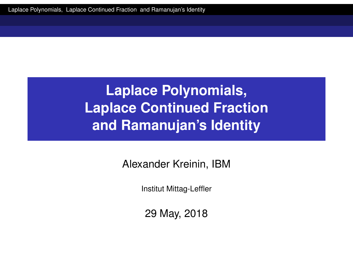<span id="page-0-0"></span>Alexander Kreinin, IBM

Institut Mittag-Leffler

29 May, 2018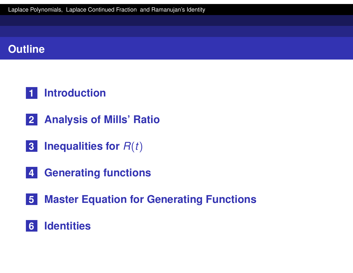### **Outline**

### **Introduction**

- **Analysis of Mills' Ratio**
- **Inequalities for** *R*(*t*)
- **Generating functions**
- **[Maste](#page-19-0)r Equation for Generating Functions**

#### **[Ident](#page-32-0)ities**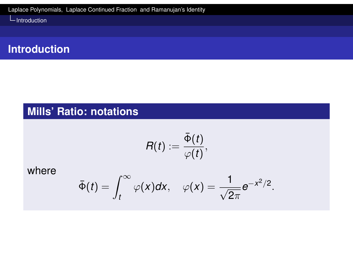

### **Mills' Ratio: notations**

$$
R(t):=\frac{\bar{\Phi}(t)}{\varphi(t)},
$$

<span id="page-2-0"></span>where

$$
\bar{\Phi}(t)=\int_t^\infty \varphi(x)dx, \quad \varphi(x)=\frac{1}{\sqrt{2\pi}}e^{-x^2/2}.
$$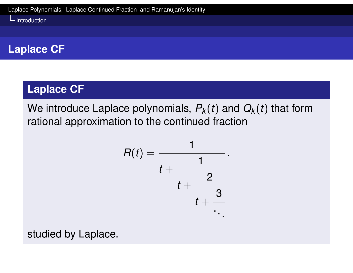### **Laplace CF**

### **Laplace CF**

We introduce Laplace polynomials,  $P_k(t)$  and  $Q_k(t)$  that form rational approximation to the continued fraction

$$
R(t) = \cfrac{1}{t + \cfrac{1}{t + \cfrac{2}{t + \cfrac{3}{\ddots}}}}.
$$

studied by Laplace.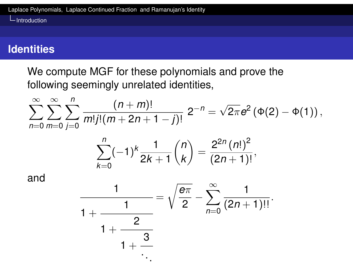### **Identities**

We compute MGF for these polynomials and prove the following seemingly unrelated identities,

$$
\sum_{n=0}^{\infty}\sum_{m=0}^{\infty}\sum_{j=0}^{n}\frac{(n+m)!}{m!j!(m+2n+1-j)!}2^{-n}=\sqrt{2\pi}e^{2}(\Phi(2)-\Phi(1)),
$$

$$
\sum_{k=0}^n (-1)^k \frac{1}{2k+1} {n \choose k} = \frac{2^{2n} (n!)^2}{(2n+1)!},
$$

and

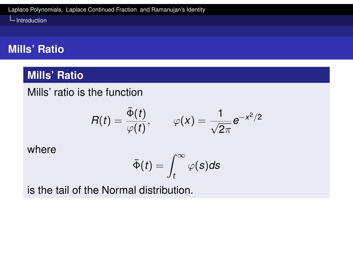### **Mills' Ratio**

#### **Mills' Ratio**

Mills' ratio is the function

$$
R(t)=\frac{\bar{\Phi}(t)}{\varphi(t)},\qquad \varphi(x)=\frac{1}{\sqrt{2\pi}}e^{-x^2/2}
$$

[where](#page-0-0)

$$
\bar{\Phi}(t)=\int_t^\infty \varphi(s)ds
$$

is the tail of the Normal distribution.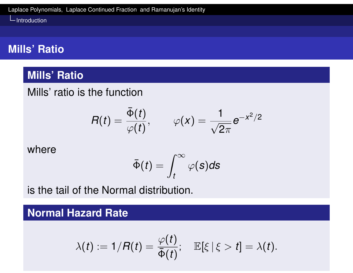### **Mills' Ratio**

#### **Mills' Ratio**

Mills' ratio is the function

$$
R(t)=\frac{\bar{\Phi}(t)}{\varphi(t)},\qquad \varphi(x)=\frac{1}{\sqrt{2\pi}}e^{-x^2/2}
$$

[where](#page-0-0)

$$
\bar{\Phi}(t)=\int_t^\infty \varphi(s)ds
$$

is the tail of the Normal distribution.

**Normal Hazard Rate**

$$
\lambda(t):=1/R(t)=\frac{\varphi(t)}{\bar{\Phi}(t)};\quad \mathbb{E}[\xi\,|\,\xi>t]=\lambda(t).
$$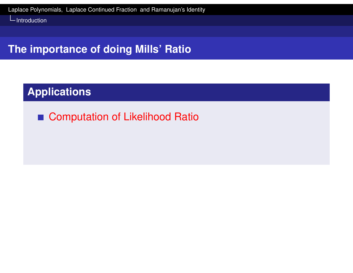### **The importance of doing Mills' Ratio**

### **Applications**

■ Computation of Likelihood Ratio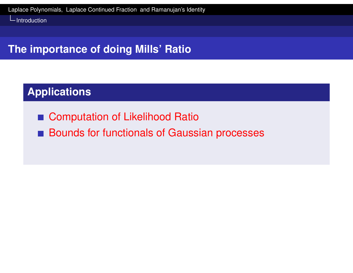### **The importance of doing Mills' Ratio**

### **Applications**

- Computation of Likelihood Ratio
- **Bounds for functionals of Gaussian processes**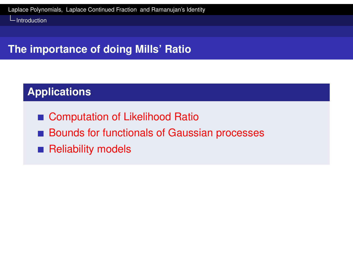# **The importance of doing Mills' Ratio**

### **Applications**

- Computation of Likelihood Ratio
- **Bounds for functionals of Gaussian processes**
- **[Reliability](#page-0-0) models**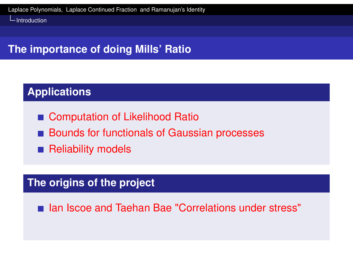### **The importance of doing Mills' Ratio**

### **Applications**

- Computation of Likelihood Ratio
- **Bounds for functionals of Gaussian processes**
- **[Reliability](#page-0-0) models**

### **The origins of the project**

■ Ian Iscoe and Taehan Bae "Correlations under stress"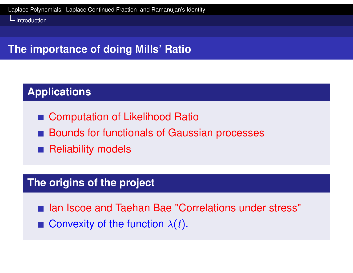# **The importance of doing Mills' Ratio**

### **Applications**

- Computation of Likelihood Ratio
- **Bounds for functionals of Gaussian processes**
- **[Reliability](#page-0-0) models**

### **The origins of the project**

- Ian Iscoe and Taehan Bae "Correlations under stress"
- **Convexity of the function**  $\lambda(t)$ .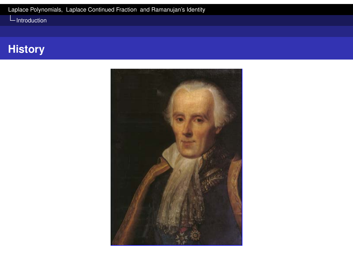### **History**

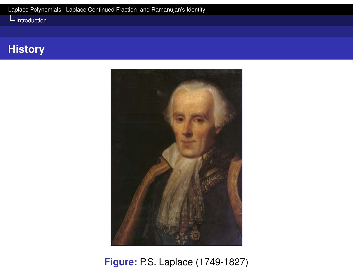### **History**



**Figure:** P.S. Laplace (1749-1827)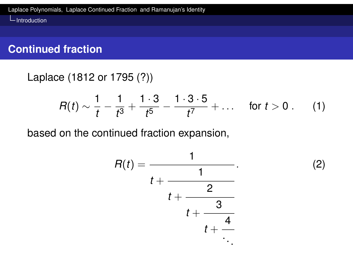### **Continued fraction**

Laplace (1812 or 1795 (?))

$$
R(t) \sim \frac{1}{t} - \frac{1}{t^3} + \frac{1 \cdot 3}{t^5} - \frac{1 \cdot 3 \cdot 5}{t^7} + \ldots \quad \text{for } t > 0 \,.
$$
 (1)

based on the continued fraction expansion,



 $(2)$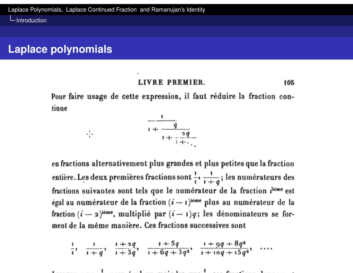$-\frac{1}{4}$ 

Introduction

#### **Laplace polynomials**

#### LIVRE PREMIER. 105

Pour faire usage de cette expression, il faut réduire la fraction continue

 $\frac{1}{1+\frac{q}{1+\frac{2q}{1+\ddots}}}$ 

en fractions alternativement plus grandes et plus petites que la fraction entière. Les deux premières fractions sont  $\frac{1}{r}$ ,  $\frac{1}{1+\theta}$ ; les numérateurs des fractions suivantes sont tels que le numérateur de la fraction n<sup>ième</sup> est égal au numérateur de la fraction  $(i - i)^{i \text{eme}}$  plus au numérateur de la fraction  $(i - 2)^{i\epsilon m\epsilon}$ , multiplié par  $(i - 1)q$ ; les dénominateurs se forment de la même manière. Ces fractions successives sont

$$
\frac{1}{1}, \quad \frac{1}{1+q}, \quad \frac{1+2q}{1+3q}, \quad \frac{1+5q}{1+6q+3q^2}, \quad \frac{1+9q+8q^2}{1+10q+15q^2}, \quad \ldots
$$

. . . . . .  $\mathbf{I}$  and  $\mathbf{I}$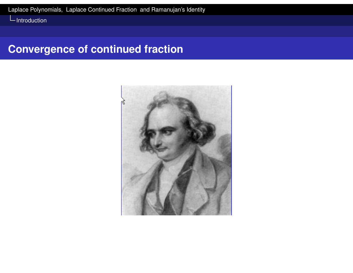# **Convergence of continued fraction**

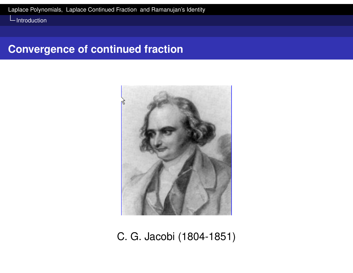#### **Convergence of continued fraction**



C. G. Jacobi (1804-1851)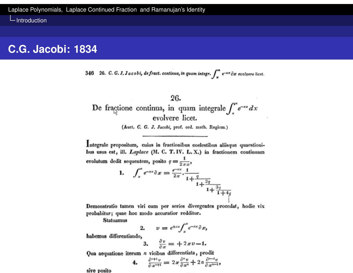#### **C.G. Jacobi: 1834**

26. C. G. J. Jacobi, de fract. continua, in quam integr.  $\int_{-\infty}^{\infty} e^{-x x} \partial x$  evolvere licet. 346

#### 26.

De fractione continua, in quam integrale  $\int_{x}^{\infty} e^{-sx} dx$ evolvere licet.

(Auct. C. G. J. Jacobi, prof. ord. math. Regiom.)

Integrale propositum, cuius in fractionibus coelestibus aliisque quaestionibus usus est, ill. Laplace (M. C. T. IV. L. X.) in fractionem continuam evolutum dedit sequentem, posito  $q = \frac{1}{2\,x\,x}$ ,

1. 
$$
\int_{x}^{x} e^{-xx} \partial x = \frac{e^{-xx}}{2x} \cdot \frac{1}{1 + \frac{q}{1 + \frac{2q}{1 + \frac{3q}{1 + \frac{4q}{1 + \frac{4q}{1}}}}}}
$$

Demonstratio tamen viri cum per series divergentes procedat, hodie vix probabitur; quae hoc modo accuratior redditur.

**Statuamus** 

$$
2. \qquad v = e^{+xx} \int_x^x e^{-xx} \partial x,
$$

habemus differentiando,

$$
3. \quad \frac{\partial v}{\partial x} = +2xv-1.
$$

Qua aequatione iterum n vicibus differentiata, prodit

4. 
$$
\frac{\partial^{n+1}v}{\partial x^{n+1}} = 2x \frac{\partial^n v}{\partial x^n} + 2n \frac{\partial^{n-1}v}{\partial x^{n-1}},
$$

sive posito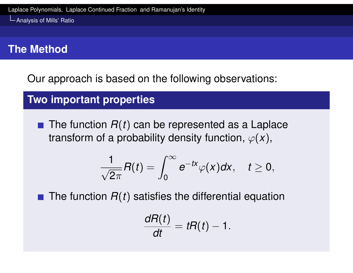Analysis of Mills' Ratio

### **The Method**

Our approach is based on the following observations:

**Two important properties**

<span id="page-19-0"></span> $\blacksquare$  The function  $R(t)$  can be represented as a Laplace transform of a probability density function,  $\varphi(x)$ ,

$$
\frac{1}{\sqrt{2\pi}}R(t)=\int_0^\infty e^{-tx}\varphi(x)dx,\quad t\geq 0,
$$

 $\blacksquare$  The function  $R(t)$  satisfies the differential equation

$$
\frac{dR(t)}{dt}=tR(t)-1.
$$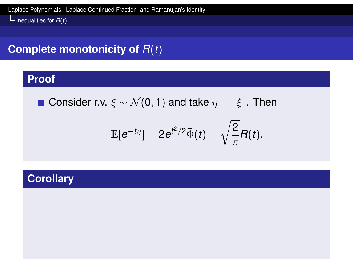### **Complete monotonicity of** *R*(*t*)

#### **Proof**

**■ Consider r.v.**  $\xi \sim \mathcal{N}(0, 1)$  and take  $\eta = |\xi|$ . Then

$$
\mathbb{E}[e^{-t\eta}]=2e^{t^2/2}\bar{\Phi}(t)=\sqrt{\frac{2}{\pi}}R(t).
$$

#### **Corollary**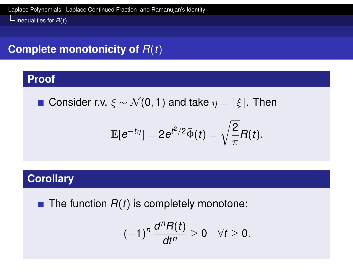### **Complete monotonicity of** *R*(*t*)

#### **Proof**

**■ Consider r.v.**  $\xi \sim \mathcal{N}(0, 1)$  and take  $\eta = |\xi|$ . Then

$$
\mathbb{E}[e^{-t\eta}]=2e^{t^2/2}\bar{\Phi}(t)=\sqrt{\frac{2}{\pi}}R(t).
$$

#### **Corollary**

 $\blacksquare$  The function  $R(t)$  is completely monotone:

$$
(-1)^n\frac{d^nR(t)}{dt^n}\geq 0 \quad \forall t\geq 0.
$$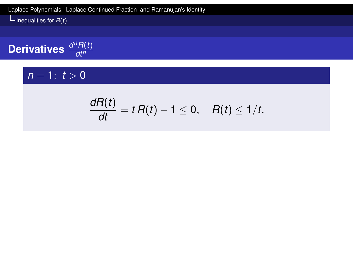**Derivatives** 
$$
\frac{d^n R(t)}{dt^n}
$$

### $n = 1$ ;  $t > 0$

$$
\frac{dR(t)}{dt}=t R(t)-1\leq 0, \quad R(t)\leq 1/t.
$$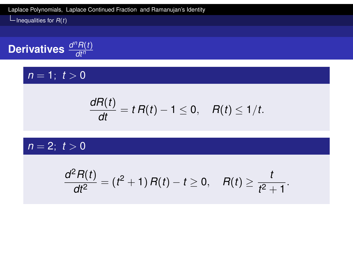**Derivatives**  $\frac{d^n R(t)}{dt^n}$ *dt<sup>n</sup>*

#### $n = 1$ ;  $t > 0$

$$
\frac{dR(t)}{dt}=t R(t)-1\leq 0, \quad R(t)\leq 1/t.
$$

 $n = 2; t > 0$ 

$$
\frac{d^2R(t)}{dt^2} = (t^2+1) R(t) - t \ge 0, \quad R(t) \ge \frac{t}{t^2+1}.
$$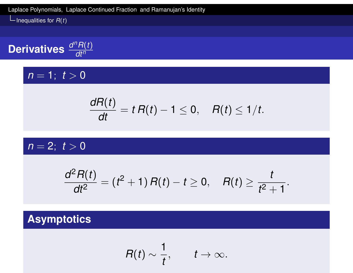**Derivatives**  $\frac{d^n R(t)}{dt^n}$ *dt<sup>n</sup>*

### $n = 1$ ;  $t > 0$

$$
\frac{dR(t)}{dt}=t R(t)-1\leq 0, \quad R(t)\leq 1/t.
$$

$$
n=2;\ t>0
$$

$$
\frac{d^2R(t)}{dt^2} = (t^2+1) R(t) - t \ge 0, \quad R(t) \ge \frac{t}{t^2+1}.
$$

### **Asymptotics**

$$
R(t)\sim \frac{1}{t}, \qquad t\to \infty.
$$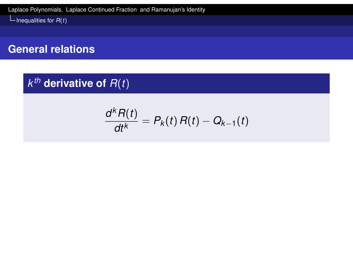Inequalities for  $R(t)$ 

#### **General relations**

### $k^{th}$  derivative of  $R(t)$

$$
\frac{d^k R(t)}{dt^k}=P_k(t)\,R(t)-Q_{k-1}(t)
$$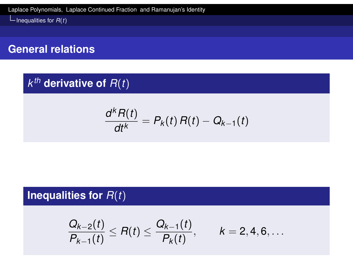- Inequalities for  $R(t)$ 

#### **General relations**

### $k^{th}$  derivative of  $R(t)$

$$
\frac{d^k R(t)}{dt^k}=P_k(t)\,R(t)-Q_{k-1}(t)
$$

### **Inequalities for** *R*(*t*)

$$
\frac{Q_{k-2}(t)}{P_{k-1}(t)} \leq R(t) \leq \frac{Q_{k-1}(t)}{P_k(t)}, \qquad k = 2, 4, 6, \ldots
$$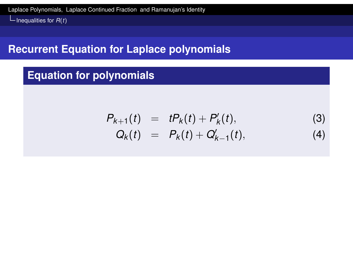#### **Recurrent Equation for Laplace polynomials**

### **Equation for polynomials**

$$
P_{k+1}(t) = tP_k(t) + P'_k(t),
$$
\n(3)  
\n
$$
Q_k(t) = P_k(t) + Q'_{k-1}(t),
$$
\n(4)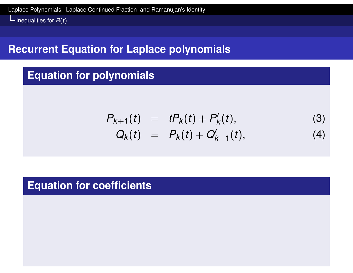#### **Recurrent Equation for Laplace polynomials**

#### **Equation for polynomials**

$$
P_{k+1}(t) = tP_k(t) + P'_k(t),
$$
\n(3)  
\n
$$
Q_k(t) = P_k(t) + Q'_{k-1}(t),
$$
\n(4)

#### **Equation for coefficients**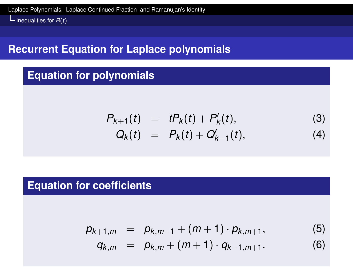#### **Recurrent Equation for Laplace polynomials**

#### **Equation for polynomials**

$$
P_{k+1}(t) = tP_k(t) + P'_k(t),
$$
\n(3)  
\n
$$
Q_k(t) = P_k(t) + Q'_{k-1}(t),
$$
\n(4)

#### **Equation for coefficients**

$$
p_{k+1,m} = p_{k,m-1} + (m+1) \cdot p_{k,m+1},
$$
  
\n
$$
q_{k,m} = p_{k,m} + (m+1) \cdot q_{k-1,m+1}.
$$
\n(5)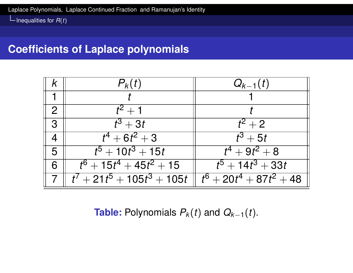#### **Coefficients of Laplace polynomials**

|                | $P_k(t)$                   | $Q_{k-1}(t)$                       |
|----------------|----------------------------|------------------------------------|
|                |                            |                                    |
| $\overline{2}$ | $t^2+1$                    |                                    |
| $\mathcal{S}$  | $t^3 + 3t$                 | $t^2+2$                            |
|                | $t^4+6t^2+3$               | $t^3 + 5t$                         |
| 5              | $\sqrt{t^5+10t^3+15t}$     | $t^4 + 9t^2 + 8$                   |
| 6              | $t^6 + 15t^4 + 45t^2 + 15$ | $t^5 + 14t^3 + 33t$                |
|                | $t^7+21t^5+105t^3+105t$    | $\boxed{t^6 + 20t^4 + 87t^2 + 48}$ |

**Table:** Polynomials  $P_k(t)$  and  $Q_{k-1}(t)$ .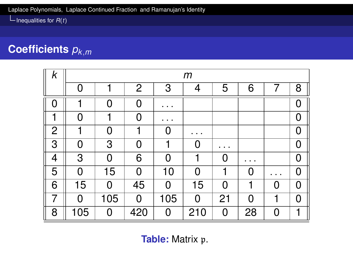# **Coefficients** *pk*,*<sup>m</sup>*

| $\pmb{k}$      | m              |          |                |           |                |                            |                |   |                |
|----------------|----------------|----------|----------------|-----------|----------------|----------------------------|----------------|---|----------------|
|                | O              | ┫        | $\overline{2}$ | 3         | 4              | 5                          | 6              |   | 8              |
| $\bigcap$      |                | Ω        | $\Omega$       |           |                |                            |                |   | O              |
| 1              | O              | 1        | $\Omega$       |           |                |                            |                |   | 0              |
| $\overline{2}$ | 1              | $\Omega$ |                |           |                |                            |                |   | $\overline{0}$ |
| 3              | $\overline{0}$ | 3        | $\overline{0}$ |           | $\overline{0}$ | ٠<br>$\bullet\quad\bullet$ |                |   | 0              |
| $\overline{4}$ | 3              | $\Omega$ | 6              | $\bigcap$ |                | $\Omega$                   |                |   | $\overline{0}$ |
| 5              | 0              | 15       | $\overline{0}$ | 10        | O              |                            | $\Omega$       |   | 0              |
| 6              | 15             | 0        | 45             | $\Omega$  | 15             | $\Omega$                   |                | O | $\overline{0}$ |
| 7              | 0              | 105      | $\overline{0}$ | 105       | $\Omega$       | 21                         | $\overline{0}$ |   | 0              |
| 8              | 105            | $\Omega$ | 420            | $\Omega$  | 210            | $\Omega$                   | 28             | 0 | 1              |

**Table:** Matrix p.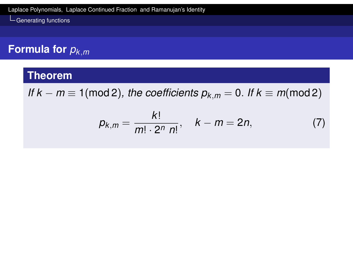### **Formula for** *pk*,*<sup>m</sup>*

#### **Theorem**

<span id="page-32-0"></span>*If*  $k - m \equiv 1 \pmod{2}$ , the coefficients  $p_{k,m} = 0$ . If  $k \equiv m \pmod{2}$ 

$$
p_{k,m} = \frac{k!}{m! \cdot 2^n n!}, \quad k - m = 2n, \tag{7}
$$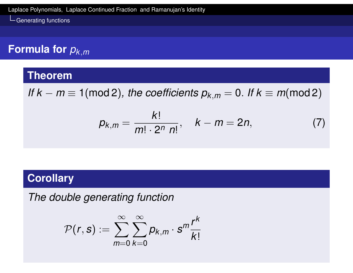# **Formula for** *pk*,*<sup>m</sup>*

#### **Theorem**

*If*  $k - m \equiv 1 \pmod{2}$ , the coefficients  $p_{k,m} = 0$ . If  $k \equiv m \pmod{2}$ 

$$
p_{k,m} = \frac{k!}{m! \cdot 2^n n!}, \quad k - m = 2n, \tag{7}
$$

#### **Corollary**

*The double generating function*

$$
\mathcal{P}(r,s):=\sum_{m=0}^{\infty}\sum_{k=0}^{\infty}p_{k,m}\cdot s^{m}\frac{r^{k}}{k!}
$$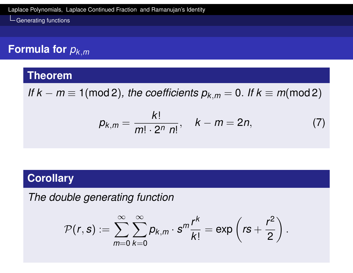### **Formula for** *pk*,*<sup>m</sup>*

#### **Theorem**

*If*  $k - m \equiv 1 \pmod{2}$ , the coefficients  $p_{k,m} = 0$ . If  $k \equiv m \pmod{2}$ 

$$
p_{k,m} = \frac{k!}{m! \cdot 2^n n!}, \quad k - m = 2n, \tag{7}
$$

.

#### **Corollary**

*The double generating function*

$$
\mathcal{P}(r,s):=\sum_{m=0}^{\infty}\sum_{k=0}^{\infty}p_{k,m}\cdot s^{m}\frac{r^{k}}{k!}=\exp\left(rs+\frac{r^{2}}{2}\right)
$$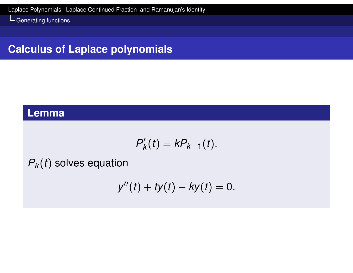### **Calculus of Laplace polynomials**

#### **Lemma**

$$
P'_{k}(t)=kP_{k-1}(t).
$$

<span id="page-35-0"></span> $P_k(t)$  $P_k(t)$  solves equation

$$
y''(t) + ty(t) - ky(t) = 0.
$$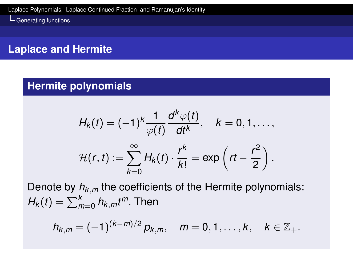### **Laplace and Hermite**

#### **Hermite polynomials**

$$
H_k(t) = (-1)^k \frac{1}{\varphi(t)} \frac{d^k \varphi(t)}{dt^k}, \quad k = 0, 1, \ldots,
$$
  

$$
\mathcal{H}(r, t) := \sum_{k=0}^{\infty} H_k(t) \cdot \frac{r^k}{k!} = \exp\left(rt - \frac{r^2}{2}\right).
$$

Denote by *hk*,*<sup>m</sup>* the coefficients of the Hermite polynomials:  $H_k(t) = \sum_{m=0}^k h_{k,m} t^m$ . Then

$$
h_{k,m}=(-1)^{(k-m)/2} p_{k,m}, \quad m=0,1,\ldots,k, \quad k\in\mathbb{Z}_+.
$$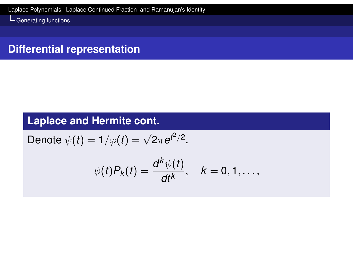### **Differential representation**

### **Laplace and Hermite cont.**

Denote 
$$
\psi(t) = 1/\varphi(t) = \sqrt{2\pi}e^{t^2/2}
$$
.

$$
\psi(t)P_k(t)=\frac{d^k\psi(t)}{dt^k}, \quad k=0,1,\ldots,
$$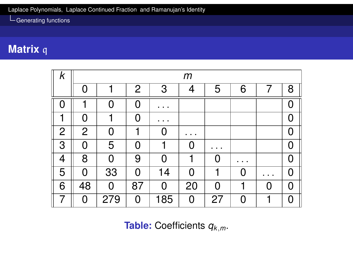# **Matrix** q

| $\pmb{k}$      | $\boldsymbol{m}$ |                |                |                     |          |    |   |   |   |
|----------------|------------------|----------------|----------------|---------------------|----------|----|---|---|---|
|                | $\Omega$         |                | $\overline{2}$ | 3                   | 4        | 5  | 6 |   | 8 |
| [ ]            |                  | O              | O              |                     |          |    |   |   |   |
| 1              | $\Omega$         |                | O              | $\bullet$ $\bullet$ |          |    |   |   | Ω |
| $\overline{2}$ | $\overline{2}$   | 0              | 1              | N                   |          |    |   |   |   |
| 3              | 0                | 5              | O              |                     | O        |    |   |   |   |
| 4              | 8                | $\bf 0$        | 9              | Ŋ                   | 1        | O  |   |   | N |
| 5              | $\Omega$         | 33             | $\Omega$       | 14                  | $\Omega$ | 1  |   |   | N |
| 6              | 48               | $\overline{0}$ | 87             | $\Omega$            | 20       | 0  |   | N | N |
|                | 0                | 279            | 0              | 185                 | 0        | 27 |   | 1 | Ω |

**Table:** Coefficients *qk*,*m*.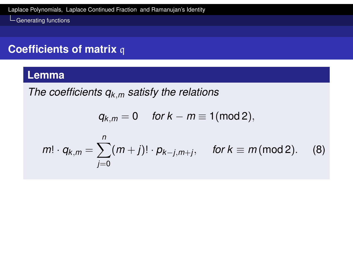### **Coefficients of matrix** q

#### **Lemma**

*The coefficients qk*,*<sup>m</sup> satisfy the relations*

$$
q_{k,m}=0 \quad \text{ for } k-m\equiv 1(\text{mod}\, 2),
$$

$$
m! \cdot q_{k,m} = \sum_{j=0}^{n} (m+j)! \cdot p_{k-j,m+j}, \text{ for } k \equiv m \text{ (mod 2).}
$$
 (8)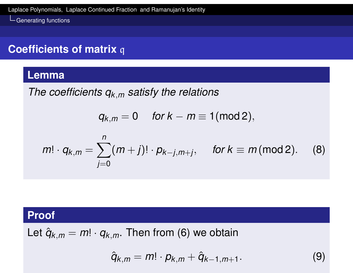### **Coefficients of matrix** q

#### **Lemma**

*The coefficients qk*,*<sup>m</sup> satisfy the relations*

$$
q_{k,m}=0 \quad \text{ for } k-m\equiv 1(\text{mod}\, 2),
$$

$$
m! \cdot q_{k,m} = \sum_{j=0}^{n} (m+j)! \cdot p_{k-j,m+j}, \text{ for } k \equiv m \text{ (mod 2).}
$$
 (8)

#### **Proof**

Let  $\hat{q}_{k,m} = m! \cdot q_{k,m}$ . Then from (6) we obtain

$$
\hat{q}_{k,m}=m!\cdot p_{k,m}+\hat{q}_{k-1,m+1}.
$$
\n(9)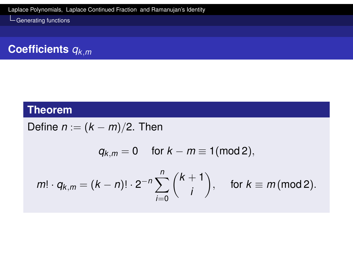# **Coefficients** *qk*,*<sup>m</sup>*

#### **Theorem**

Define  $n := (k - m)/2$ . Then

$$
q_{k,m}=0 \quad \text{ for } k-m\equiv 1(\text{mod } 2),
$$

$$
m! \cdot q_{k,m} = (k-n)! \cdot 2^{-n} \sum_{i=0}^n {k+1 \choose i}, \quad \text{ for } k \equiv m \text{ (mod 2)}.
$$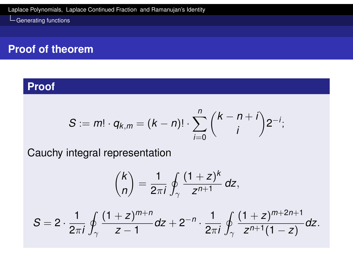#### **Proof of theorem**

#### **Proof**

$$
S := m! \cdot q_{k,m} = (k - n)! \cdot \sum_{i=0}^{n} {k - n + i \choose i} 2^{-i};
$$

<span id="page-42-0"></span>[Cauchy integra](#page-0-0)l representation

$$
\binom{k}{n}=\frac{1}{2\pi i}\oint_{\gamma}\frac{(1+z)^k}{z^{n+1}}\,dz,
$$

$$
S=2\cdot \frac{1}{2\pi i}\oint_{\gamma}\frac{(1+z)^{m+n}}{z-1}dz+2^{-n}\cdot \frac{1}{2\pi i}\oint_{\gamma}\frac{(1+z)^{m+2n+1}}{z^{n+1}(1-z)}dz.
$$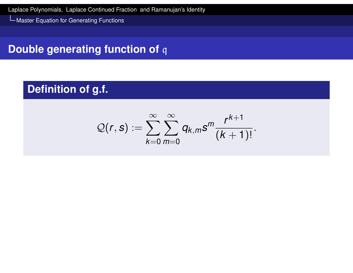Master Equation for Generating Functions

### **Double generating function of** q

### **Definition of g.f.**

$$
Q(r,s):=\sum_{k=0}^{\infty}\sum_{m=0}^{\infty}q_{k,m}s^m\frac{r^{k+1}}{(k+1)!}.
$$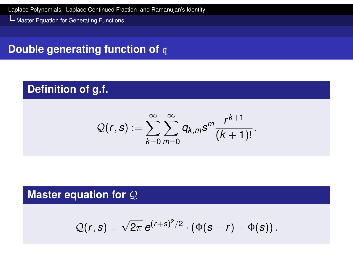Master Equation for Generating Functions

### **Double generating function of** q

### **Definition of g.f.**

$$
Q(r,s):=\sum_{k=0}^{\infty}\sum_{m=0}^{\infty}q_{k,m}s^m\frac{r^{k+1}}{(k+1)!}.
$$

#### **Master equation for** Q

$$
\mathcal{Q}(r,s)=\sqrt{2\pi}\,e^{(r+s)^2/2}\cdot\left(\Phi(s+r)-\Phi(s)\right).
$$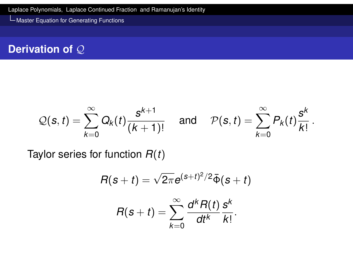Master Equation for Generating Functions

#### **Derivation of** Q

$$
\mathcal{Q}(s,t)=\sum_{k=0}^{\infty}Q_k(t)\frac{s^{k+1}}{(k+1)!}\quad\text{ and }\quad\mathcal{P}(s,t)=\sum_{k=0}^{\infty}P_k(t)\frac{s^k}{k!}\,.
$$

<span id="page-45-0"></span>[Taylor](#page-45-0) [series fo](#page-0-0)r function *R*(*t*)

$$
R(s+t)=\sqrt{2\pi}e^{(s+t)^2/2}\bar{\Phi}(s+t)
$$

$$
R(s+t)=\sum_{k=0}^{\infty}\frac{d^kR(t)}{dt^k}\frac{s^k}{k!}.
$$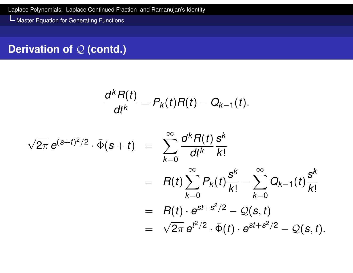*k*

Master Equation for Generating Functions

### **Derivation of Q (contd.)**

$$
\frac{d^k R(t)}{dt^k}=P_k(t)R(t)-Q_{k-1}(t).
$$

$$
\sqrt{2\pi} e^{(s+t)^2/2} \cdot \bar{\Phi}(s+t) = \sum_{k=0}^{\infty} \frac{d^k R(t)}{dt^k} \frac{s^k}{k!} \n= R(t) \sum_{k=0}^{\infty} P_k(t) \frac{s^k}{k!} - \sum_{k=0}^{\infty} Q_{k-1}(t) \frac{s^k}{k!} \n= R(t) \cdot e^{st+s^2/2} - Q(s,t) \n= \sqrt{2\pi} e^{t^2/2} \cdot \bar{\Phi}(t) \cdot e^{st+s^2/2} - Q(s,t).
$$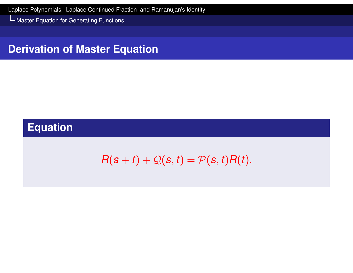Master Equation for Generating Functions

#### **Derivation of Master Equation**

### **Equation**

$$
R(s+t)+\mathcal{Q}(s,t)=\mathcal{P}(s,t)R(t).
$$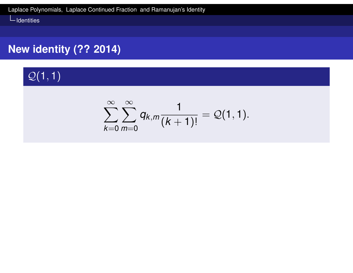### **New identity (?? 2014)**

# $\mathcal{Q}(1,1)$

$$
\sum_{k=0}^{\infty} \sum_{m=0}^{\infty} q_{k,m} \frac{1}{(k+1)!} = \mathcal{Q}(1,1).
$$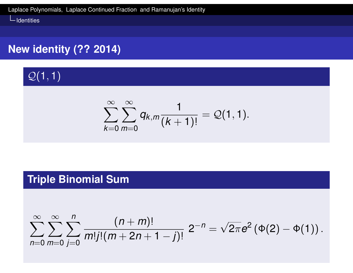### **New identity (?? 2014)**

 $Q(1, 1)$ 

$$
\sum_{k=0}^{\infty} \sum_{m=0}^{\infty} q_{k,m} \frac{1}{(k+1)!} = \mathcal{Q}(1,1).
$$

### **Triple Binomial Sum**

$$
\sum_{n=0}^{\infty}\sum_{m=0}^{\infty}\sum_{j=0}^{n}\frac{(n+m)!}{m!j!(m+2n+1-j)!}2^{-n}=\sqrt{2\pi}e^{2}(\Phi(2)-\Phi(1)).
$$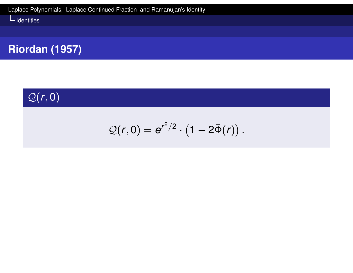### **Riordan (1957)**

# $Q(r, 0)$

$$
\mathcal{Q}(r,0)=e^{r^2/2}\cdot\left(1-2\bar{\Phi}(r)\right).
$$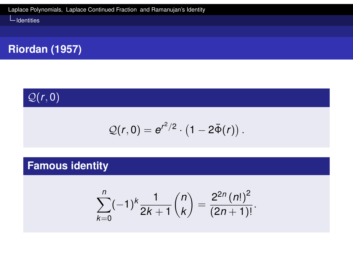### **Riordan (1957)**

# $Q(r, 0)$

$$
\mathcal{Q}(r,0)=e^{r^2/2}\cdot\left(1-2\bar{\Phi}(r)\right).
$$

### **Famous identity**

$$
\sum_{k=0}^n (-1)^k \frac{1}{2k+1} {n \choose k} = \frac{2^{2n} (n!)^2}{(2n+1)!}.
$$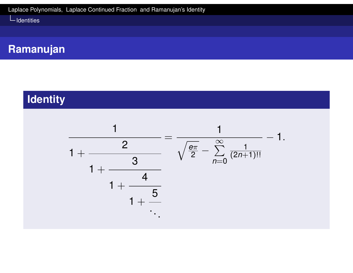### **Ramanujan**

### **Identity**

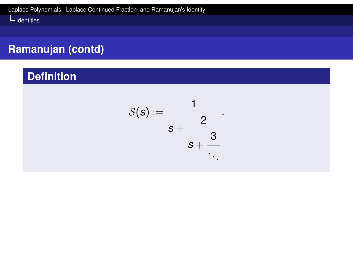### **Ramanujan (contd)**

### **Definition**

$$
\mathcal{S}(\boldsymbol{s}):=\frac{1}{\boldsymbol{s}+\frac{2}{\boldsymbol{s}+\frac{3}{\ddots}}}.
$$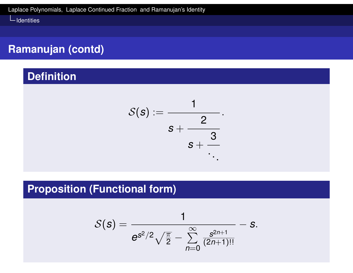### **Ramanujan (contd)**

#### **Definition**

$$
\mathcal{S}(\boldsymbol{s}):=\frac{1}{\boldsymbol{s}+\frac{2}{\boldsymbol{s}+\frac{3}{\ddots}}}.
$$

### **Proposition (Functional form)**

$$
S(s) = \frac{1}{e^{s^2/2}\sqrt{\frac{\pi}{2}} - \sum_{n=0}^{\infty} \frac{s^{2n+1}}{(2n+1)!!}} - s.
$$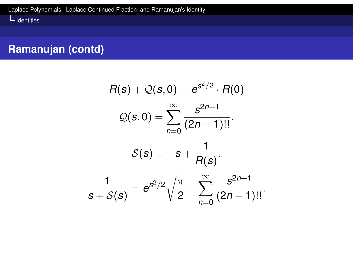### **Ramanujan (contd)**

$$
R(s) + Q(s, 0) = e^{s^2/2} \cdot R(0)
$$
  

$$
Q(s, 0) = \sum_{n=0}^{\infty} \frac{s^{2n+1}}{(2n+1)!!}.
$$
  

$$
S(s) = -s + \frac{1}{R(s)}.
$$
  

$$
\frac{1}{s + S(s)} = e^{s^2/2} \sqrt{\frac{\pi}{2}} - \sum_{n=0}^{\infty} \frac{s^{2n+1}}{(2n+1)!!}.
$$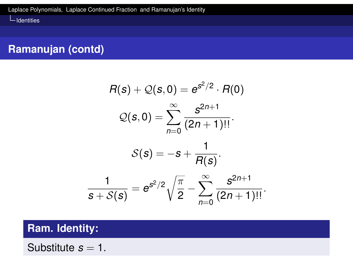### **Ramanujan (contd)**

$$
R(s) + Q(s, 0) = e^{s^2/2} \cdot R(0)
$$
  

$$
Q(s, 0) = \sum_{n=0}^{\infty} \frac{s^{2n+1}}{(2n+1)!!}.
$$
  

$$
S(s) = -s + \frac{1}{R(s)}.
$$
  

$$
\frac{1}{s + S(s)} = e^{s^2/2} \sqrt{\frac{\pi}{2}} - \sum_{n=0}^{\infty} \frac{s^{2n+1}}{(2n+1)!!}.
$$

#### **Ram. Identity:**

Substitute  $s = 1$ .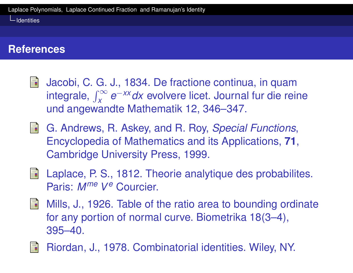### **References**

- E. Jacobi, C. G. J., 1834. De fractione continua, in quam integrale,  $\int_{x}^{\infty}$ *x e* <sup>−</sup>*xxdx* evolvere licet. Journal fur die reine und angewandte Mathematik 12, 346–347.
- G. Andrews, R. Askey, and R. Roy, *Special Functions*, Encyclopedia of Mathematics and its Applications, **71**, [Cambridge](#page-0-0) University Press, 1999.
- **E** Laplace, P. S., 1812. Theorie analytique des probabilites. Paris: *Mme V e* Courcier.
- 手 Mills, J., 1926. Table of the ratio area to bounding ordinate for any portion of normal curve. Biometrika 18(3–4), 395–40.



Riordan, J., 1978. Combinatorial identities. Wiley, NY.